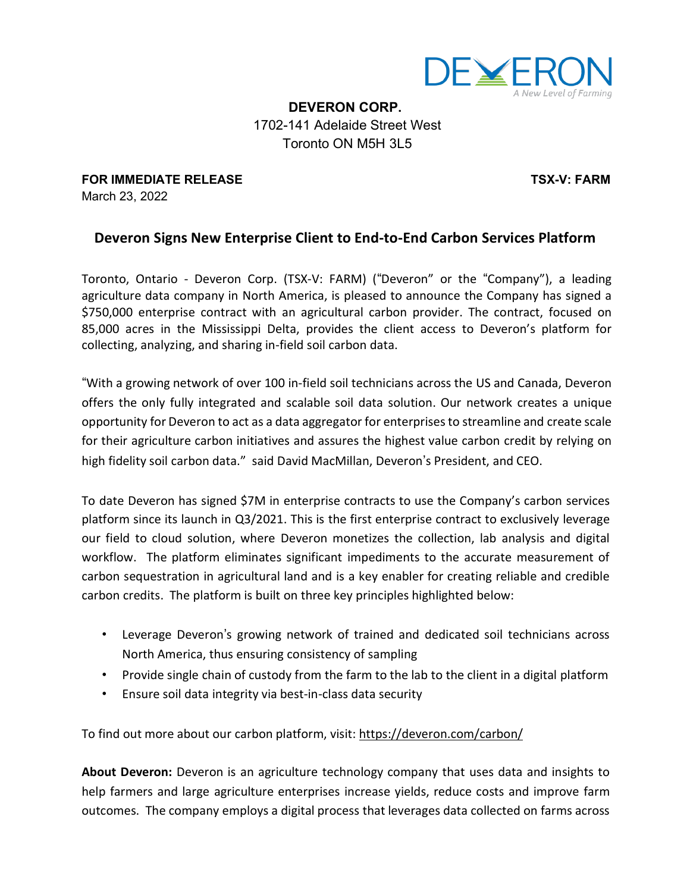

**DEVERON CORP.** 1702-141 Adelaide Street West Toronto ON M5H 3L5

**FOR IMMEDIATE RELEASE TSX-V: FARM** March 23, 2022

## **Deveron Signs New Enterprise Client to End-to-End Carbon Services Platform**

Toronto, Ontario - Deveron Corp. (TSX-V: FARM) ("Deveron" or the "Company"), a leading agriculture data company in North America, is pleased to announce the Company has signed a \$750,000 enterprise contract with an agricultural carbon provider. The contract, focused on 85,000 acres in the Mississippi Delta, provides the client access to Deveron's platform for collecting, analyzing, and sharing in-field soil carbon data.

"With a growing network of over 100 in-field soil technicians across the US and Canada, Deveron offers the only fully integrated and scalable soil data solution. Our network creates a unique opportunity for Deveron to act as a data aggregator for enterprisesto streamline and create scale for their agriculture carbon initiatives and assures the highest value carbon credit by relying on high fidelity soil carbon data." said David MacMillan, Deveron's President, and CEO.

To date Deveron has signed \$7M in enterprise contracts to use the Company's carbon services platform since its launch in Q3/2021. This is the first enterprise contract to exclusively leverage our field to cloud solution, where Deveron monetizes the collection, lab analysis and digital workflow. The platform eliminates significant impediments to the accurate measurement of carbon sequestration in agricultural land and is a key enabler for creating reliable and credible carbon credits. The platform is built on three key principles highlighted below:

- Leverage Deveron"s growing network of trained and dedicated soil technicians across North America, thus ensuring consistency of sampling
- Provide single chain of custody from the farm to the lab to the client in a digital platform
- Ensure soil data integrity via best-in-class data security

To find out more about our carbon platform, visit: https://deveron.com/carbon/

**About Deveron:** Deveron is an agriculture technology company that uses data and insights to help farmers and large agriculture enterprises increase yields, reduce costs and improve farm outcomes. The company employs a digital process that leverages data collected on farms across